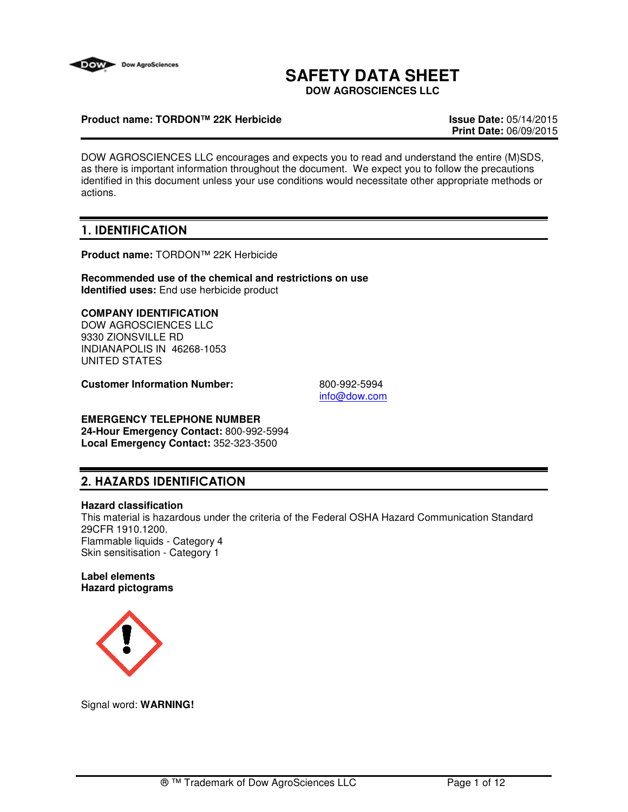

# **SAFETY DATA SHEET**

**DOW AGROSCIENCES LLC**

## **Product name: TORDON™ 22K Herbicide Issue Date:** 05/14/2015

**Print Date:** 06/09/2015

DOW AGROSCIENCES LLC encourages and expects you to read and understand the entire (M)SDS, as there is important information throughout the document. We expect you to follow the precautions identified in this document unless your use conditions would necessitate other appropriate methods or actions.

## 1. IDENTIFICATION

**Product name:** TORDON™ 22K Herbicide

**Recommended use of the chemical and restrictions on use Identified uses:** End use herbicide product

## **COMPANY IDENTIFICATION**

DOW AGROSCIENCES LLC 9330 ZIONSVILLE RD INDIANAPOLIS IN 46268-1053 UNITED STATES

**Customer Information Number:** 800-992-5994

info@dow.com

## **EMERGENCY TELEPHONE NUMBER**

**24-Hour Emergency Contact:** 800-992-5994 **Local Emergency Contact:** 352-323-3500

## 2. HAZARDS IDENTIFICATION

## **Hazard classification**

This material is hazardous under the criteria of the Federal OSHA Hazard Communication Standard 29CFR 1910.1200. Flammable liquids - Category 4 Skin sensitisation - Category 1

#### **Label elements Hazard pictograms**



Signal word: **WARNING!**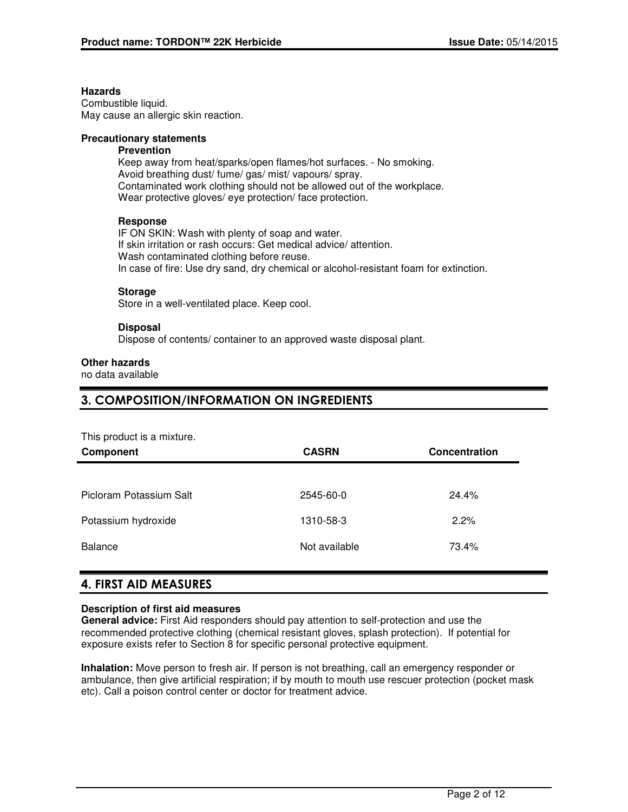#### **Hazards**

Combustible liquid. May cause an allergic skin reaction.

## **Precautionary statements**

## **Prevention**

Keep away from heat/sparks/open flames/hot surfaces. - No smoking. Avoid breathing dust/ fume/ gas/ mist/ vapours/ spray. Contaminated work clothing should not be allowed out of the workplace. Wear protective gloves/ eye protection/ face protection.

## **Response**

IF ON SKIN: Wash with plenty of soap and water. If skin irritation or rash occurs: Get medical advice/ attention. Wash contaminated clothing before reuse. In case of fire: Use dry sand, dry chemical or alcohol-resistant foam for extinction.

## **Storage**

Store in a well-ventilated place. Keep cool.

## **Disposal**

Dispose of contents/ container to an approved waste disposal plant.

#### **Other hazards**

no data available

## 3. COMPOSITION/INFORMATION ON INGREDIENTS

This product is a mixture.

| Component               | <b>CASRN</b>  | <b>Concentration</b> |
|-------------------------|---------------|----------------------|
|                         |               |                      |
| Picloram Potassium Salt | 2545-60-0     | 24.4%                |
| Potassium hydroxide     | 1310-58-3     | 2.2%                 |
| <b>Balance</b>          | Not available | 73.4%                |

## 4. FIRST AID MEASURES

## **Description of first aid measures**

**General advice:** First Aid responders should pay attention to self-protection and use the recommended protective clothing (chemical resistant gloves, splash protection). If potential for exposure exists refer to Section 8 for specific personal protective equipment.

**Inhalation:** Move person to fresh air. If person is not breathing, call an emergency responder or ambulance, then give artificial respiration; if by mouth to mouth use rescuer protection (pocket mask etc). Call a poison control center or doctor for treatment advice.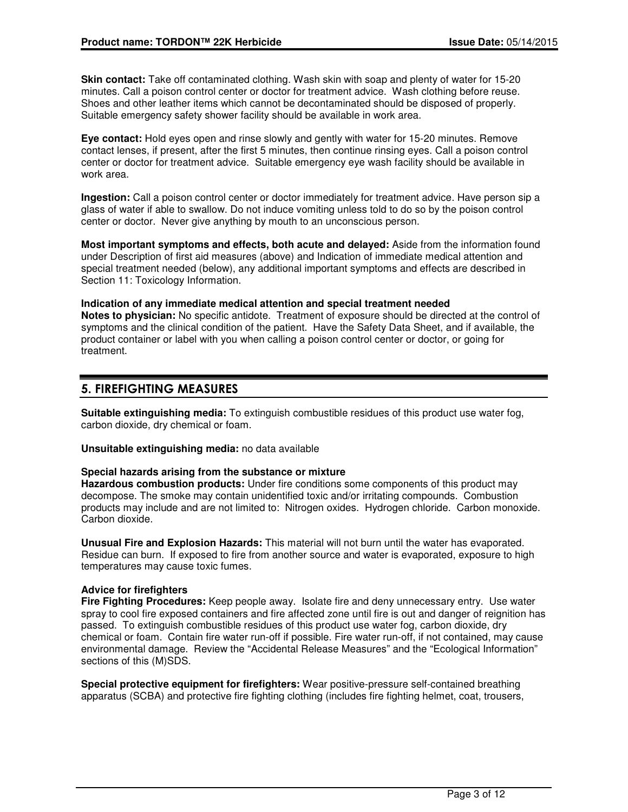**Skin contact:** Take off contaminated clothing. Wash skin with soap and plenty of water for 15-20 minutes. Call a poison control center or doctor for treatment advice. Wash clothing before reuse. Shoes and other leather items which cannot be decontaminated should be disposed of properly. Suitable emergency safety shower facility should be available in work area.

**Eye contact:** Hold eyes open and rinse slowly and gently with water for 15-20 minutes. Remove contact lenses, if present, after the first 5 minutes, then continue rinsing eyes. Call a poison control center or doctor for treatment advice. Suitable emergency eye wash facility should be available in work area.

**Ingestion:** Call a poison control center or doctor immediately for treatment advice. Have person sip a glass of water if able to swallow. Do not induce vomiting unless told to do so by the poison control center or doctor. Never give anything by mouth to an unconscious person.

**Most important symptoms and effects, both acute and delayed:** Aside from the information found under Description of first aid measures (above) and Indication of immediate medical attention and special treatment needed (below), any additional important symptoms and effects are described in Section 11: Toxicology Information.

## **Indication of any immediate medical attention and special treatment needed**

**Notes to physician:** No specific antidote. Treatment of exposure should be directed at the control of symptoms and the clinical condition of the patient. Have the Safety Data Sheet, and if available, the product container or label with you when calling a poison control center or doctor, or going for treatment.

## 5. FIREFIGHTING MEASURES

**Suitable extinguishing media:** To extinguish combustible residues of this product use water fog, carbon dioxide, dry chemical or foam.

**Unsuitable extinguishing media:** no data available

## **Special hazards arising from the substance or mixture**

**Hazardous combustion products:** Under fire conditions some components of this product may decompose. The smoke may contain unidentified toxic and/or irritating compounds. Combustion products may include and are not limited to: Nitrogen oxides. Hydrogen chloride. Carbon monoxide. Carbon dioxide.

**Unusual Fire and Explosion Hazards:** This material will not burn until the water has evaporated. Residue can burn. If exposed to fire from another source and water is evaporated, exposure to high temperatures may cause toxic fumes.

## **Advice for firefighters**

**Fire Fighting Procedures:** Keep people away. Isolate fire and deny unnecessary entry. Use water spray to cool fire exposed containers and fire affected zone until fire is out and danger of reignition has passed. To extinguish combustible residues of this product use water fog, carbon dioxide, dry chemical or foam. Contain fire water run-off if possible. Fire water run-off, if not contained, may cause environmental damage. Review the "Accidental Release Measures" and the "Ecological Information" sections of this (M)SDS.

**Special protective equipment for firefighters:** Wear positive-pressure self-contained breathing apparatus (SCBA) and protective fire fighting clothing (includes fire fighting helmet, coat, trousers,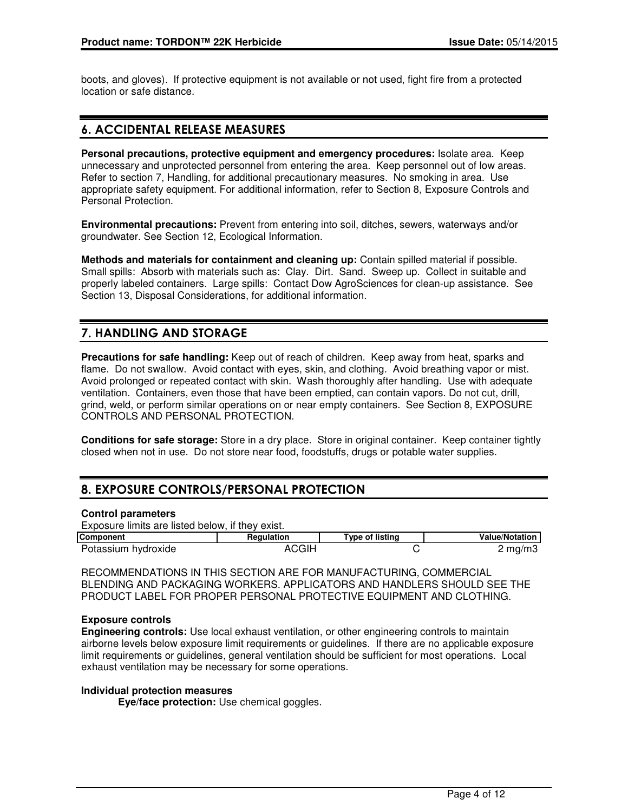boots, and gloves). If protective equipment is not available or not used, fight fire from a protected location or safe distance.

## 6. ACCIDENTAL RELEASE MEASURES

**Personal precautions, protective equipment and emergency procedures:** Isolate area. Keep unnecessary and unprotected personnel from entering the area. Keep personnel out of low areas. Refer to section 7, Handling, for additional precautionary measures. No smoking in area. Use appropriate safety equipment. For additional information, refer to Section 8, Exposure Controls and Personal Protection.

**Environmental precautions:** Prevent from entering into soil, ditches, sewers, waterways and/or groundwater. See Section 12, Ecological Information.

**Methods and materials for containment and cleaning up:** Contain spilled material if possible. Small spills: Absorb with materials such as: Clay. Dirt. Sand. Sweep up. Collect in suitable and properly labeled containers. Large spills: Contact Dow AgroSciences for clean-up assistance. See Section 13, Disposal Considerations, for additional information.

## 7. HANDLING AND STORAGE

**Precautions for safe handling:** Keep out of reach of children. Keep away from heat, sparks and flame. Do not swallow. Avoid contact with eyes, skin, and clothing. Avoid breathing vapor or mist. Avoid prolonged or repeated contact with skin. Wash thoroughly after handling. Use with adequate ventilation. Containers, even those that have been emptied, can contain vapors. Do not cut, drill, grind, weld, or perform similar operations on or near empty containers. See Section 8, EXPOSURE CONTROLS AND PERSONAL PROTECTION.

**Conditions for safe storage:** Store in a dry place. Store in original container. Keep container tightly closed when not in use. Do not store near food, foodstuffs, drugs or potable water supplies.

## 8. EXPOSURE CONTROLS/PERSONAL PROTECTION

## **Control parameters**

| Exposure limits are listed below, if they exist. |            |                 |                       |
|--------------------------------------------------|------------|-----------------|-----------------------|
| <b>Component</b>                                 | Regulation | Type of listing | <b>Value/Notation</b> |
| Potassium hydroxide                              | ACGIH      |                 | $2 \text{ mg/m}$      |

RECOMMENDATIONS IN THIS SECTION ARE FOR MANUFACTURING, COMMERCIAL BLENDING AND PACKAGING WORKERS. APPLICATORS AND HANDLERS SHOULD SEE THE PRODUCT LABEL FOR PROPER PERSONAL PROTECTIVE EQUIPMENT AND CLOTHING.

## **Exposure controls**

**Engineering controls:** Use local exhaust ventilation, or other engineering controls to maintain airborne levels below exposure limit requirements or guidelines. If there are no applicable exposure limit requirements or guidelines, general ventilation should be sufficient for most operations. Local exhaust ventilation may be necessary for some operations.

## **Individual protection measures**

**Eye/face protection:** Use chemical goggles.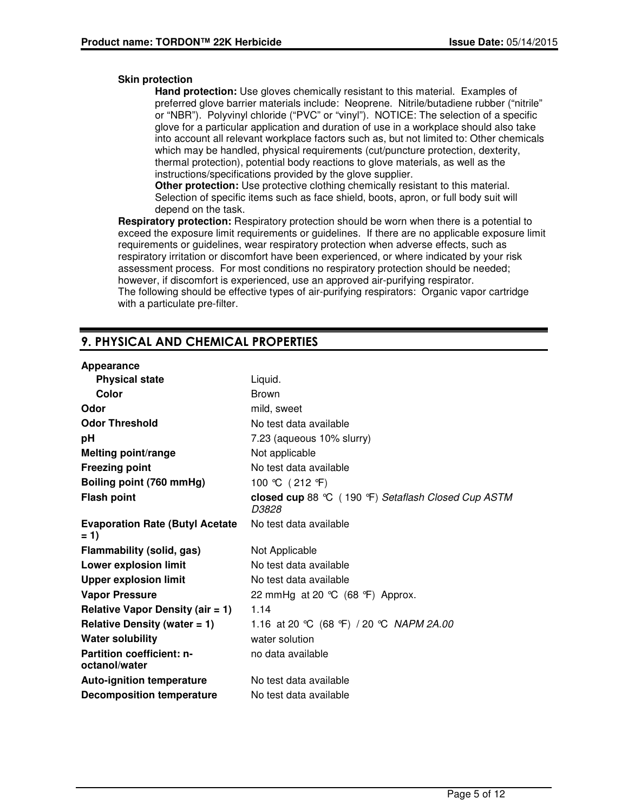## **Skin protection**

**Hand protection:** Use gloves chemically resistant to this material. Examples of preferred glove barrier materials include: Neoprene. Nitrile/butadiene rubber ("nitrile" or "NBR"). Polyvinyl chloride ("PVC" or "vinyl"). NOTICE: The selection of a specific glove for a particular application and duration of use in a workplace should also take into account all relevant workplace factors such as, but not limited to: Other chemicals which may be handled, physical requirements (cut/puncture protection, dexterity, thermal protection), potential body reactions to glove materials, as well as the instructions/specifications provided by the glove supplier.

**Other protection:** Use protective clothing chemically resistant to this material. Selection of specific items such as face shield, boots, apron, or full body suit will depend on the task.

**Respiratory protection:** Respiratory protection should be worn when there is a potential to exceed the exposure limit requirements or guidelines. If there are no applicable exposure limit requirements or guidelines, wear respiratory protection when adverse effects, such as respiratory irritation or discomfort have been experienced, or where indicated by your risk assessment process. For most conditions no respiratory protection should be needed; however, if discomfort is experienced, use an approved air-purifying respirator. The following should be effective types of air-purifying respirators: Organic vapor cartridge with a particulate pre-filter.

## 9. PHYSICAL AND CHEMICAL PROPERTIES

## **Appearance**

| <b>Physical state</b>                             | Liquid.                                                     |
|---------------------------------------------------|-------------------------------------------------------------|
| Color                                             | <b>Brown</b>                                                |
| Odor                                              | mild, sweet                                                 |
| <b>Odor Threshold</b>                             | No test data available                                      |
| рH                                                | 7.23 (aqueous 10% slurry)                                   |
| <b>Melting point/range</b>                        | Not applicable                                              |
| <b>Freezing point</b>                             | No test data available                                      |
| Boiling point (760 mmHg)                          | 100 °C (212 °F)                                             |
| <b>Flash point</b>                                | closed cup 88 ℃ (190 °F) Setaflash Closed Cup ASTM<br>D3828 |
| <b>Evaporation Rate (Butyl Acetate)</b><br>$= 1$  | No test data available                                      |
| Flammability (solid, gas)                         | Not Applicable                                              |
| Lower explosion limit                             | No test data available                                      |
| <b>Upper explosion limit</b>                      | No test data available                                      |
| <b>Vapor Pressure</b>                             | 22 mmHg at 20 $°C$ (68 $°F$ ) Approx.                       |
| Relative Vapor Density (air $= 1$ )               | 1.14                                                        |
| Relative Density (water $= 1$ )                   | 1.16 at 20 °C (68 °F) / 20 °C NAPM 2A.00                    |
| <b>Water solubility</b>                           | water solution                                              |
| <b>Partition coefficient: n-</b><br>octanol/water | no data available                                           |
| <b>Auto-ignition temperature</b>                  | No test data available                                      |
| <b>Decomposition temperature</b>                  | No test data available                                      |
|                                                   |                                                             |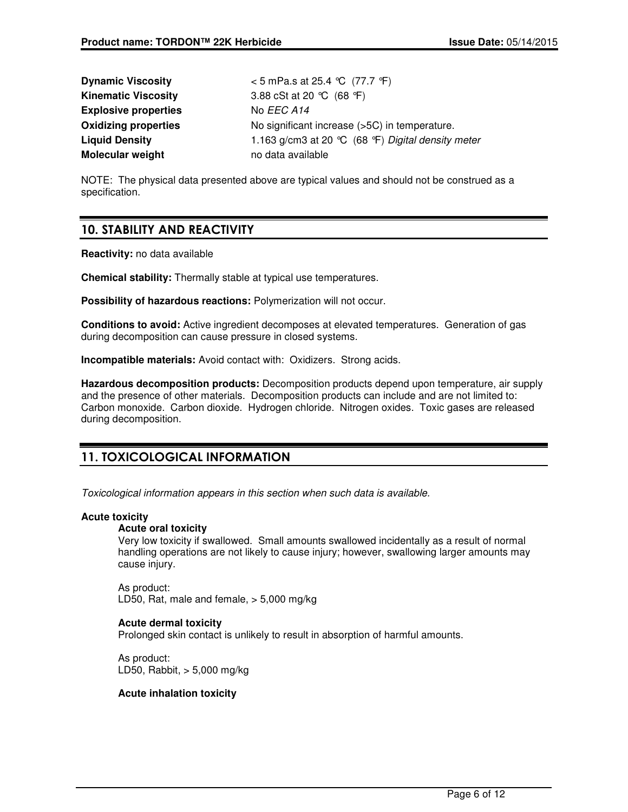| <b>Dynamic Viscosity</b>    | < 5 mPa.s at 25.4 ℃ (77.7 °F)                        |
|-----------------------------|------------------------------------------------------|
| <b>Kinematic Viscosity</b>  | 3.88 cSt at 20 $°C$ (68 °F)                          |
| <b>Explosive properties</b> | No EEC A14                                           |
| <b>Oxidizing properties</b> | No significant increase (>5C) in temperature.        |
| <b>Liquid Density</b>       | 1.163 g/cm3 at 20 $°C$ (68 °F) Digital density meter |
| <b>Molecular weight</b>     | no data available                                    |

NOTE: The physical data presented above are typical values and should not be construed as a specification.

## 10. STABILITY AND REACTIVITY

**Reactivity:** no data available

**Chemical stability:** Thermally stable at typical use temperatures.

**Possibility of hazardous reactions:** Polymerization will not occur.

**Conditions to avoid:** Active ingredient decomposes at elevated temperatures. Generation of gas during decomposition can cause pressure in closed systems.

**Incompatible materials:** Avoid contact with: Oxidizers. Strong acids.

**Hazardous decomposition products:** Decomposition products depend upon temperature, air supply and the presence of other materials. Decomposition products can include and are not limited to: Carbon monoxide. Carbon dioxide. Hydrogen chloride. Nitrogen oxides. Toxic gases are released during decomposition.

## 11. TOXICOLOGICAL INFORMATION

Toxicological information appears in this section when such data is available.

## **Acute toxicity**

## **Acute oral toxicity**

Very low toxicity if swallowed. Small amounts swallowed incidentally as a result of normal handling operations are not likely to cause injury; however, swallowing larger amounts may cause injury.

As product: LD50, Rat, male and female, > 5,000 mg/kg

## **Acute dermal toxicity**

Prolonged skin contact is unlikely to result in absorption of harmful amounts.

As product: LD50, Rabbit, > 5,000 mg/kg

## **Acute inhalation toxicity**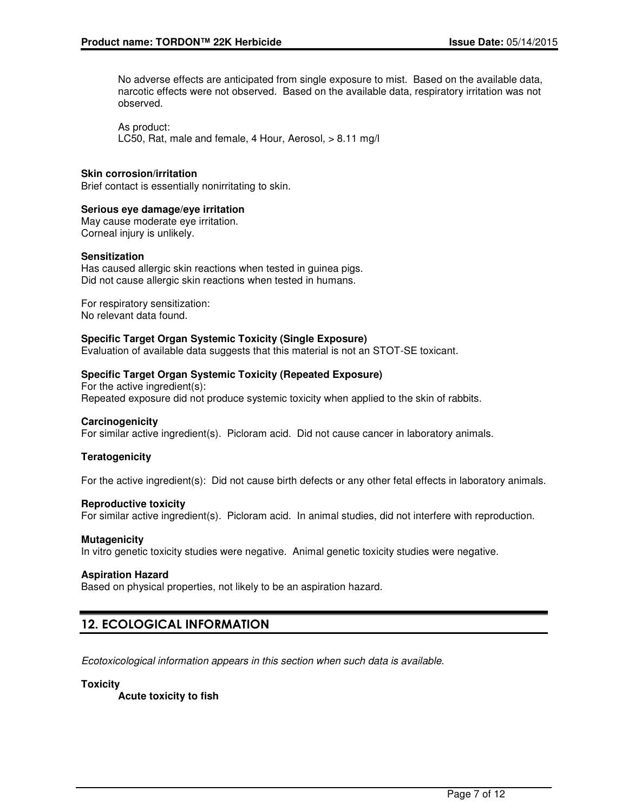No adverse effects are anticipated from single exposure to mist. Based on the available data, narcotic effects were not observed. Based on the available data, respiratory irritation was not observed.

As product: LC50, Rat, male and female, 4 Hour, Aerosol, > 8.11 mg/l

#### **Skin corrosion/irritation**

Brief contact is essentially nonirritating to skin.

#### **Serious eye damage/eye irritation**

May cause moderate eye irritation. Corneal injury is unlikely.

#### **Sensitization**

Has caused allergic skin reactions when tested in guinea pigs. Did not cause allergic skin reactions when tested in humans.

For respiratory sensitization: No relevant data found.

#### **Specific Target Organ Systemic Toxicity (Single Exposure)**

Evaluation of available data suggests that this material is not an STOT-SE toxicant.

## **Specific Target Organ Systemic Toxicity (Repeated Exposure)**

For the active ingredient(s): Repeated exposure did not produce systemic toxicity when applied to the skin of rabbits.

#### **Carcinogenicity**

For similar active ingredient(s). Picloram acid. Did not cause cancer in laboratory animals.

## **Teratogenicity**

For the active ingredient(s): Did not cause birth defects or any other fetal effects in laboratory animals.

#### **Reproductive toxicity**

For similar active ingredient(s). Picloram acid. In animal studies, did not interfere with reproduction.

#### **Mutagenicity**

In vitro genetic toxicity studies were negative. Animal genetic toxicity studies were negative.

#### **Aspiration Hazard**

Based on physical properties, not likely to be an aspiration hazard.

## 12. ECOLOGICAL INFORMATION

Ecotoxicological information appears in this section when such data is available.

#### **Toxicity**

**Acute toxicity to fish**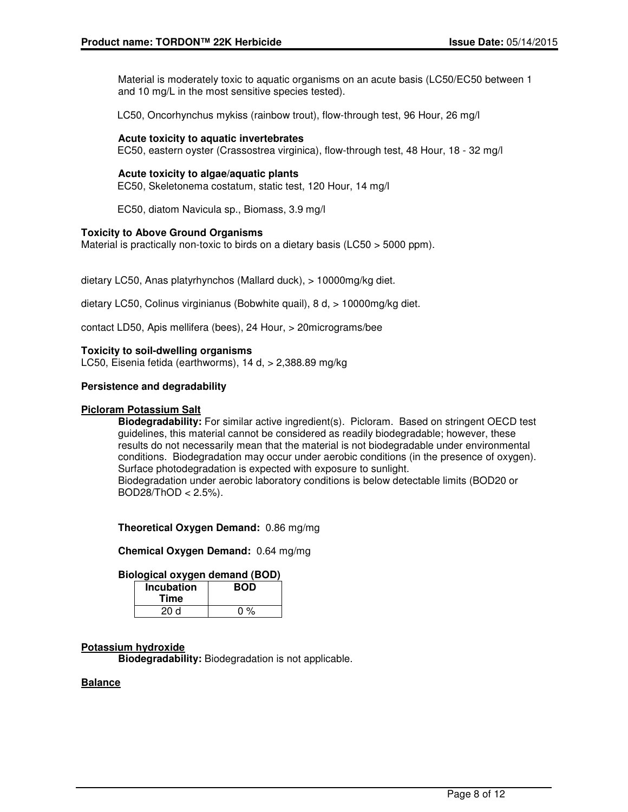Material is moderately toxic to aquatic organisms on an acute basis (LC50/EC50 between 1 and 10 mg/L in the most sensitive species tested).

LC50, Oncorhynchus mykiss (rainbow trout), flow-through test, 96 Hour, 26 mg/l

## **Acute toxicity to aquatic invertebrates**

EC50, eastern oyster (Crassostrea virginica), flow-through test, 48 Hour, 18 - 32 mg/l

## **Acute toxicity to algae/aquatic plants**

EC50, Skeletonema costatum, static test, 120 Hour, 14 mg/l

EC50, diatom Navicula sp., Biomass, 3.9 mg/l

## **Toxicity to Above Ground Organisms**

Material is practically non-toxic to birds on a dietary basis (LC50 > 5000 ppm).

dietary LC50, Anas platyrhynchos (Mallard duck), > 10000mg/kg diet.

dietary LC50, Colinus virginianus (Bobwhite quail), 8 d, > 10000mg/kg diet.

contact LD50, Apis mellifera (bees), 24 Hour, > 20micrograms/bee

## **Toxicity to soil-dwelling organisms**

LC50, Eisenia fetida (earthworms), 14 d, > 2,388.89 mg/kg

#### **Persistence and degradability**

#### **Picloram Potassium Salt**

**Biodegradability:** For similar active ingredient(s). Picloram. Based on stringent OECD test guidelines, this material cannot be considered as readily biodegradable; however, these results do not necessarily mean that the material is not biodegradable under environmental conditions. Biodegradation may occur under aerobic conditions (in the presence of oxygen). Surface photodegradation is expected with exposure to sunlight. Biodegradation under aerobic laboratory conditions is below detectable limits (BOD20 or

 $BOD28/ThOD < 2.5%$ ).

**Theoretical Oxygen Demand:** 0.86 mg/mg

**Chemical Oxygen Demand:** 0.64 mg/mg

## **Biological oxygen demand (BOD)**

| <b>Incubation</b> | <b>BOD</b> |
|-------------------|------------|
| Time              |            |
| 20d               | $0\%$      |

## **Potassium hydroxide**

**Biodegradability:** Biodegradation is not applicable.

## **Balance**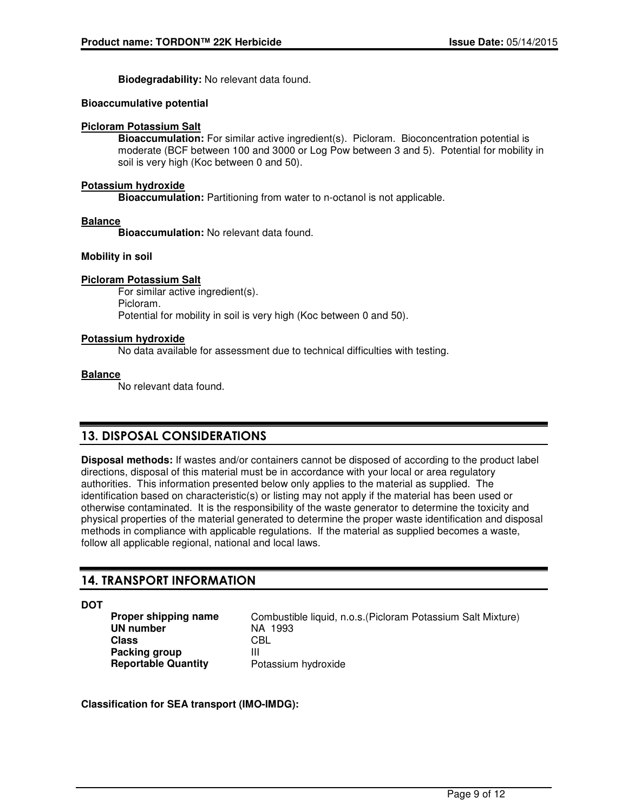**Biodegradability:** No relevant data found.

## **Bioaccumulative potential**

## **Picloram Potassium Salt**

**Bioaccumulation:** For similar active ingredient(s). Picloram. Bioconcentration potential is moderate (BCF between 100 and 3000 or Log Pow between 3 and 5). Potential for mobility in soil is very high (Koc between 0 and 50).

## **Potassium hydroxide**

**Bioaccumulation:** Partitioning from water to n-octanol is not applicable.

## **Balance**

**Bioaccumulation:** No relevant data found.

## **Mobility in soil**

## **Picloram Potassium Salt**

For similar active ingredient(s). Picloram. Potential for mobility in soil is very high (Koc between 0 and 50).

## **Potassium hydroxide**

No data available for assessment due to technical difficulties with testing.

## **Balance**

No relevant data found.

## 13. DISPOSAL CONSIDERATIONS

**Disposal methods:** If wastes and/or containers cannot be disposed of according to the product label directions, disposal of this material must be in accordance with your local or area regulatory authorities. This information presented below only applies to the material as supplied. The identification based on characteristic(s) or listing may not apply if the material has been used or otherwise contaminated. It is the responsibility of the waste generator to determine the toxicity and physical properties of the material generated to determine the proper waste identification and disposal methods in compliance with applicable regulations. If the material as supplied becomes a waste, follow all applicable regional, national and local laws.

## 14. TRANSPORT INFORMATION

## **DOT**

**UN number** NA 1993 **Class** CBL **Packing group** III **Reportable Quantity** Potassium hydroxide

**Proper shipping name** Combustible liquid, n.o.s. (Picloram Potassium Salt Mixture)

**Classification for SEA transport (IMO-IMDG):**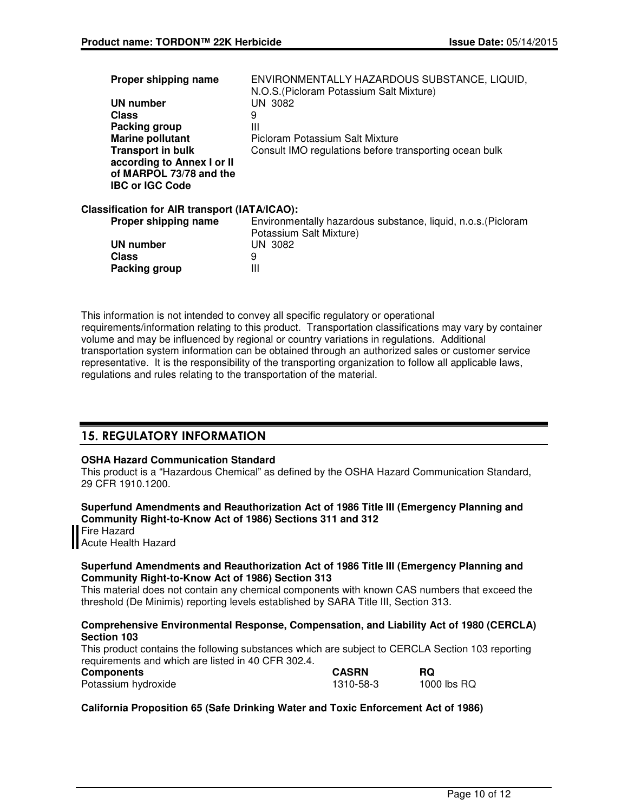| Proper shipping name                                                            | ENVIRONMENTALLY HAZARDOUS SUBSTANCE, LIQUID,<br>N.O.S. (Picloram Potassium Salt Mixture) |
|---------------------------------------------------------------------------------|------------------------------------------------------------------------------------------|
| UN number                                                                       | UN 3082                                                                                  |
| <b>Class</b>                                                                    | 9                                                                                        |
| Packing group                                                                   | Ш                                                                                        |
| <b>Marine pollutant</b>                                                         | Picloram Potassium Salt Mixture                                                          |
| <b>Transport in bulk</b>                                                        | Consult IMO regulations before transporting ocean bulk                                   |
| according to Annex I or II<br>of MARPOL 73/78 and the<br><b>IBC or IGC Code</b> |                                                                                          |
| Classification for AIR transport (IATA/ICAO):                                   |                                                                                          |
| Proper shipping name                                                            | Environmentally hazardous substance, liquid, n.o.s. (Picloram<br>Potassium Salt Mixture) |
| UN number                                                                       | UN 3082                                                                                  |

This information is not intended to convey all specific regulatory or operational requirements/information relating to this product. Transportation classifications may vary by container volume and may be influenced by regional or country variations in regulations. Additional transportation system information can be obtained through an authorized sales or customer service representative. It is the responsibility of the transporting organization to follow all applicable laws, regulations and rules relating to the transportation of the material.

## 15. REGULATORY INFORMATION

**Class** 9 **Packing group III** 

## **OSHA Hazard Communication Standard**

This product is a "Hazardous Chemical" as defined by the OSHA Hazard Communication Standard, 29 CFR 1910.1200.

**Superfund Amendments and Reauthorization Act of 1986 Title III (Emergency Planning and Community Right-to-Know Act of 1986) Sections 311 and 312**

Fire Hazard **Acute Health Hazard** 

## **Superfund Amendments and Reauthorization Act of 1986 Title III (Emergency Planning and Community Right-to-Know Act of 1986) Section 313**

This material does not contain any chemical components with known CAS numbers that exceed the threshold (De Minimis) reporting levels established by SARA Title III, Section 313.

## **Comprehensive Environmental Response, Compensation, and Liability Act of 1980 (CERCLA) Section 103**

This product contains the following substances which are subject to CERCLA Section 103 reporting requirements and which are listed in 40 CFR 302.4.

| Components          | <b>CASRN</b> | <b>RQ</b>   |
|---------------------|--------------|-------------|
| Potassium hydroxide | 1310-58-3    | 1000 lbs RQ |

## **California Proposition 65 (Safe Drinking Water and Toxic Enforcement Act of 1986)**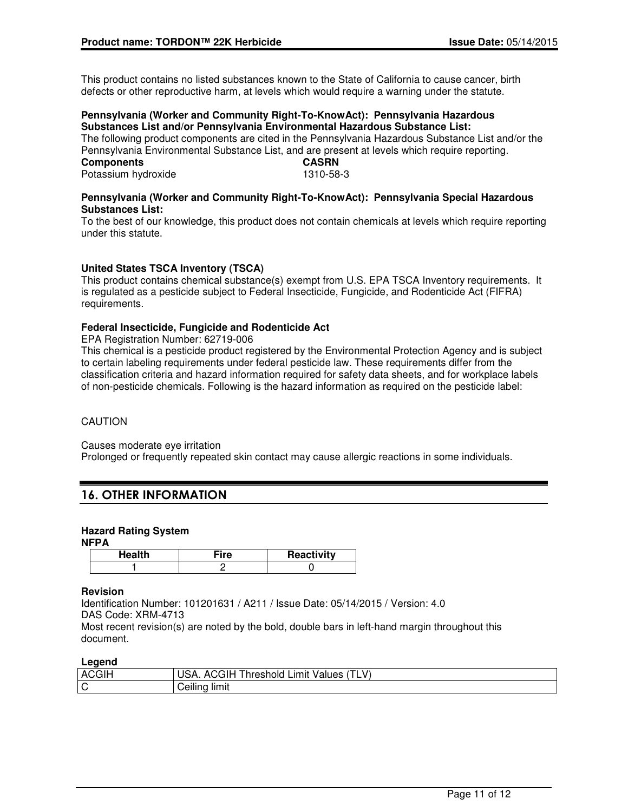This product contains no listed substances known to the State of California to cause cancer, birth defects or other reproductive harm, at levels which would require a warning under the statute.

#### **Pennsylvania (Worker and Community Right-To-KnowAct): Pennsylvania Hazardous Substances List and/or Pennsylvania Environmental Hazardous Substance List:**

The following product components are cited in the Pennsylvania Hazardous Substance List and/or the Pennsylvania Environmental Substance List, and are present at levels which require reporting.<br>CASPN  $C$ omponente

| <b>COMPONEMIS</b>   | <b>UAJNI</b> |
|---------------------|--------------|
| Potassium hydroxide | 1310-58-3    |

## **Pennsylvania (Worker and Community Right-To-KnowAct): Pennsylvania Special Hazardous Substances List:**

To the best of our knowledge, this product does not contain chemicals at levels which require reporting under this statute.

## **United States TSCA Inventory (TSCA)**

This product contains chemical substance(s) exempt from U.S. EPA TSCA Inventory requirements. It is regulated as a pesticide subject to Federal Insecticide, Fungicide, and Rodenticide Act (FIFRA) requirements.

## **Federal Insecticide, Fungicide and Rodenticide Act**

EPA Registration Number: 62719-006

This chemical is a pesticide product registered by the Environmental Protection Agency and is subject to certain labeling requirements under federal pesticide law. These requirements differ from the classification criteria and hazard information required for safety data sheets, and for workplace labels of non-pesticide chemicals. Following is the hazard information as required on the pesticide label:

## CAUTION

Causes moderate eye irritation

Prolonged or frequently repeated skin contact may cause allergic reactions in some individuals.

## 16. OTHER INFORMATION

## **Hazard Rating System**

#### **NFPA**

| Health | ≂ire | Reactivity |
|--------|------|------------|
|        |      |            |

## **Revision**

Identification Number: 101201631 / A211 / Issue Date: 05/14/2015 / Version: 4.0 DAS Code: XRM-4713 Most recent revision(s) are noted by the bold, double bars in left-hand margin throughout this

## **Legend**

document.

| <b>ACGIH</b> | V<br>;GIH<br>USA.<br>Limit Values<br>hreshold<br>ʻILV<br>AGC |
|--------------|--------------------------------------------------------------|
| ັບ           | <br>$\cdots$<br>limit<br>Ceilina                             |